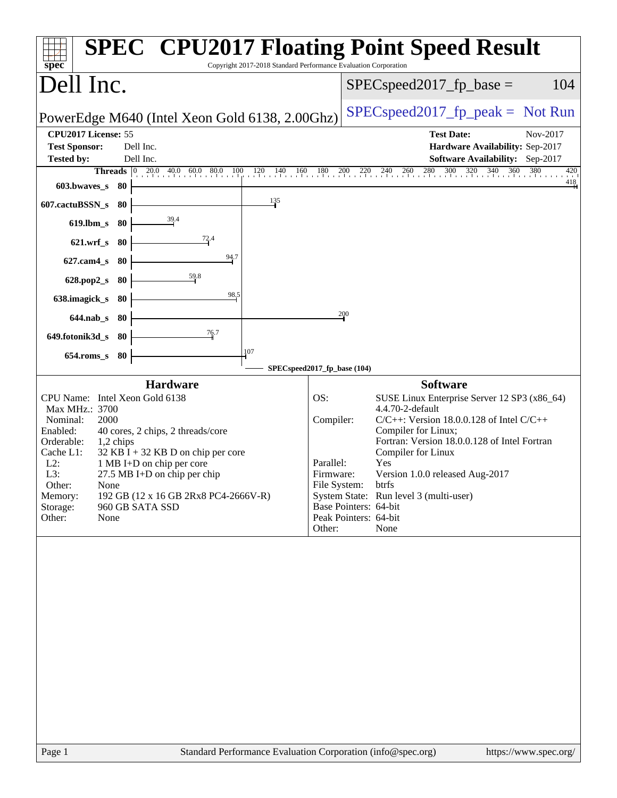| Copyright 2017-2018 Standard Performance Evaluation Corporation<br>spec <sup>®</sup>                                                                                                                                                                                                                                                                                                                                         | <b>SPEC<sup>®</sup> CPU2017 Floating Point Speed Result</b>                                                                                                                                                                                                                                                                                                                                                                                                   |
|------------------------------------------------------------------------------------------------------------------------------------------------------------------------------------------------------------------------------------------------------------------------------------------------------------------------------------------------------------------------------------------------------------------------------|---------------------------------------------------------------------------------------------------------------------------------------------------------------------------------------------------------------------------------------------------------------------------------------------------------------------------------------------------------------------------------------------------------------------------------------------------------------|
| Dell Inc.                                                                                                                                                                                                                                                                                                                                                                                                                    | 104<br>$SPEC speed2017fp base =$                                                                                                                                                                                                                                                                                                                                                                                                                              |
| PowerEdge M640 (Intel Xeon Gold 6138, 2.00Ghz)                                                                                                                                                                                                                                                                                                                                                                               | $SPEC speed2017_fp\_peak = Not Run$                                                                                                                                                                                                                                                                                                                                                                                                                           |
| CPU2017 License: 55<br>Dell Inc.<br><b>Test Sponsor:</b><br>Dell Inc.<br><b>Tested by:</b>                                                                                                                                                                                                                                                                                                                                   | <b>Test Date:</b><br>Nov-2017<br>Hardware Availability: Sep-2017<br>Software Availability: Sep-2017                                                                                                                                                                                                                                                                                                                                                           |
| <b>Threads</b> $\begin{bmatrix} 0 & 20.0 & 40.0 & 60.0 & 80.0 & 100 \end{bmatrix}$<br>603.bwaves_s<br>- 80                                                                                                                                                                                                                                                                                                                   | $120$ $140$ $160$ $180$ $200$ $220$ $240$ $260$ $280$ $300$ $320$ $340$ $360$ $380$<br>420<br>418                                                                                                                                                                                                                                                                                                                                                             |
| 135<br>607.cactuBSSN_s<br>-80                                                                                                                                                                                                                                                                                                                                                                                                |                                                                                                                                                                                                                                                                                                                                                                                                                                                               |
| 39.4<br>$619$ .lbm_s<br>80                                                                                                                                                                                                                                                                                                                                                                                                   |                                                                                                                                                                                                                                                                                                                                                                                                                                                               |
| $\frac{72.4}{4}$<br>$621.wrf$ <sub>S</sub><br>80                                                                                                                                                                                                                                                                                                                                                                             |                                                                                                                                                                                                                                                                                                                                                                                                                                                               |
| 94.7<br>$627$ .cam $4$ <sub>S</sub><br>-80                                                                                                                                                                                                                                                                                                                                                                                   |                                                                                                                                                                                                                                                                                                                                                                                                                                                               |
| 59.8<br>628.pop2_s<br>80<br>98,5                                                                                                                                                                                                                                                                                                                                                                                             |                                                                                                                                                                                                                                                                                                                                                                                                                                                               |
| 638.imagick_s<br>80<br>$644$ .nab s<br>-80                                                                                                                                                                                                                                                                                                                                                                                   | 200                                                                                                                                                                                                                                                                                                                                                                                                                                                           |
| 76.7<br>649.fotonik3d_s<br>-80                                                                                                                                                                                                                                                                                                                                                                                               |                                                                                                                                                                                                                                                                                                                                                                                                                                                               |
| 107<br>$654$ .roms_s<br>80                                                                                                                                                                                                                                                                                                                                                                                                   |                                                                                                                                                                                                                                                                                                                                                                                                                                                               |
|                                                                                                                                                                                                                                                                                                                                                                                                                              | SPECspeed2017_fp_base (104)                                                                                                                                                                                                                                                                                                                                                                                                                                   |
| <b>Hardware</b><br>CPU Name: Intel Xeon Gold 6138<br>Max MHz.: 3700<br>Nominal:<br>2000<br>Enabled:<br>40 cores, 2 chips, 2 threads/core<br>Orderable:<br>1,2 chips<br>Cache L1:<br>$32$ KB I + 32 KB D on chip per core<br>$L2$ :<br>1 MB I+D on chip per core<br>L3:<br>27.5 MB I+D on chip per chip<br>Other:<br>None<br>192 GB (12 x 16 GB 2Rx8 PC4-2666V-R)<br>Memory:<br>960 GB SATA SSD<br>Storage:<br>None<br>Other: | <b>Software</b><br>OS:<br>SUSE Linux Enterprise Server 12 SP3 (x86_64)<br>4.4.70-2-default<br>Compiler:<br>$C/C++$ : Version 18.0.0.128 of Intel $C/C++$<br>Compiler for Linux;<br>Fortran: Version 18.0.0.128 of Intel Fortran<br>Compiler for Linux<br>Parallel:<br>Yes<br>Version 1.0.0 released Aug-2017<br>Firmware:<br>File System: btrfs<br>System State: Run level 3 (multi-user)<br>Base Pointers: 64-bit<br>Peak Pointers: 64-bit<br>Other:<br>None |
| Standard Performance Evaluation Corporation (info@spec.org)<br>Page 1                                                                                                                                                                                                                                                                                                                                                        | https://www.spec.org/                                                                                                                                                                                                                                                                                                                                                                                                                                         |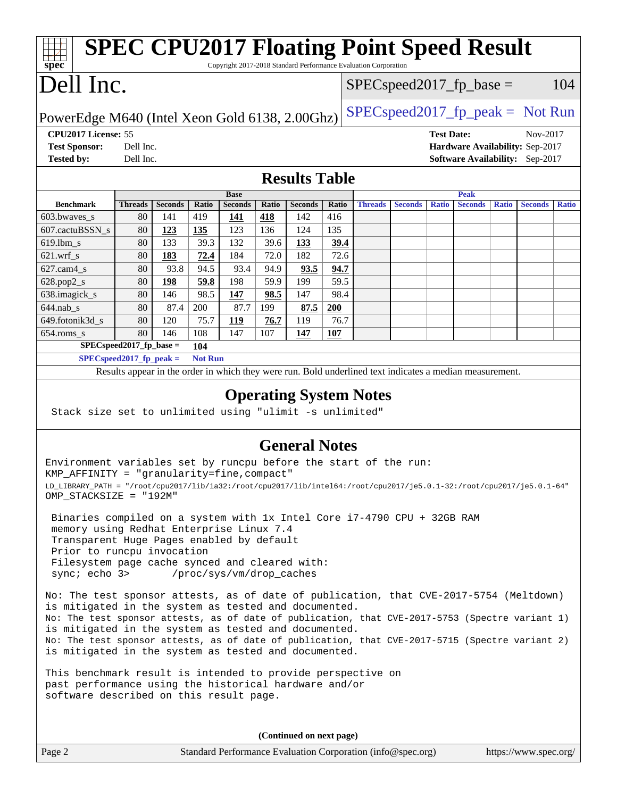### **[spec](http://www.spec.org/) [SPEC CPU2017 Floating Point Speed Result](http://www.spec.org/auto/cpu2017/Docs/result-fields.html#SPECCPU2017FloatingPointSpeedResult)** Copyright 2017-2018 Standard Performance Evaluation Corporation Dell Inc. PowerEdge M640 (Intel Xeon Gold 6138, 2.00Ghz)  $SPEC speed2017_f$  = peak = Not Run  $SPEC speed2017_fp\_base = 104$ **[CPU2017 License:](http://www.spec.org/auto/cpu2017/Docs/result-fields.html#CPU2017License)** 55 **[Test Date:](http://www.spec.org/auto/cpu2017/Docs/result-fields.html#TestDate)** Nov-2017 **[Test Sponsor:](http://www.spec.org/auto/cpu2017/Docs/result-fields.html#TestSponsor)** Dell Inc. **[Hardware Availability:](http://www.spec.org/auto/cpu2017/Docs/result-fields.html#HardwareAvailability)** Sep-2017 **[Tested by:](http://www.spec.org/auto/cpu2017/Docs/result-fields.html#Testedby)** Dell Inc. **[Software Availability:](http://www.spec.org/auto/cpu2017/Docs/result-fields.html#SoftwareAvailability)** Sep-2017 **[Results Table](http://www.spec.org/auto/cpu2017/Docs/result-fields.html#ResultsTable) [Benchmark](http://www.spec.org/auto/cpu2017/Docs/result-fields.html#Benchmark) [Threads](http://www.spec.org/auto/cpu2017/Docs/result-fields.html#Threads) [Seconds](http://www.spec.org/auto/cpu2017/Docs/result-fields.html#Seconds) [Ratio](http://www.spec.org/auto/cpu2017/Docs/result-fields.html#Ratio) [Seconds](http://www.spec.org/auto/cpu2017/Docs/result-fields.html#Seconds) [Ratio](http://www.spec.org/auto/cpu2017/Docs/result-fields.html#Ratio) [Seconds](http://www.spec.org/auto/cpu2017/Docs/result-fields.html#Seconds) [Ratio](http://www.spec.org/auto/cpu2017/Docs/result-fields.html#Ratio) Base [Threads](http://www.spec.org/auto/cpu2017/Docs/result-fields.html#Threads) [Seconds](http://www.spec.org/auto/cpu2017/Docs/result-fields.html#Seconds) [Ratio](http://www.spec.org/auto/cpu2017/Docs/result-fields.html#Ratio) [Seconds](http://www.spec.org/auto/cpu2017/Docs/result-fields.html#Seconds) [Ratio](http://www.spec.org/auto/cpu2017/Docs/result-fields.html#Ratio) [Seconds](http://www.spec.org/auto/cpu2017/Docs/result-fields.html#Seconds) [Ratio](http://www.spec.org/auto/cpu2017/Docs/result-fields.html#Ratio) Peak** [603.bwaves\\_s](http://www.spec.org/auto/cpu2017/Docs/benchmarks/603.bwaves_s.html) 80 141 419 **[141](http://www.spec.org/auto/cpu2017/Docs/result-fields.html#Median) [418](http://www.spec.org/auto/cpu2017/Docs/result-fields.html#Median)** 142 416 [607.cactuBSSN\\_s](http://www.spec.org/auto/cpu2017/Docs/benchmarks/607.cactuBSSN_s.html) 80 **[123](http://www.spec.org/auto/cpu2017/Docs/result-fields.html#Median) [135](http://www.spec.org/auto/cpu2017/Docs/result-fields.html#Median)** 123 136 124 135 [619.lbm\\_s](http://www.spec.org/auto/cpu2017/Docs/benchmarks/619.lbm_s.html) 80 133 39.3 132 39.6 **[133](http://www.spec.org/auto/cpu2017/Docs/result-fields.html#Median) [39.4](http://www.spec.org/auto/cpu2017/Docs/result-fields.html#Median)** [621.wrf\\_s](http://www.spec.org/auto/cpu2017/Docs/benchmarks/621.wrf_s.html) 80 **[183](http://www.spec.org/auto/cpu2017/Docs/result-fields.html#Median) [72.4](http://www.spec.org/auto/cpu2017/Docs/result-fields.html#Median)** 184 72.0 182 72.6 [627.cam4\\_s](http://www.spec.org/auto/cpu2017/Docs/benchmarks/627.cam4_s.html) 80 93.8 94.5 93.4 94.9 **[93.5](http://www.spec.org/auto/cpu2017/Docs/result-fields.html#Median) [94.7](http://www.spec.org/auto/cpu2017/Docs/result-fields.html#Median)** [628.pop2\\_s](http://www.spec.org/auto/cpu2017/Docs/benchmarks/628.pop2_s.html) 80 **[198](http://www.spec.org/auto/cpu2017/Docs/result-fields.html#Median) [59.8](http://www.spec.org/auto/cpu2017/Docs/result-fields.html#Median)** 198 59.9 199 59.5 [638.imagick\\_s](http://www.spec.org/auto/cpu2017/Docs/benchmarks/638.imagick_s.html) 80 146 98.5 **[147](http://www.spec.org/auto/cpu2017/Docs/result-fields.html#Median) [98.5](http://www.spec.org/auto/cpu2017/Docs/result-fields.html#Median)** 147 98.4 [644.nab\\_s](http://www.spec.org/auto/cpu2017/Docs/benchmarks/644.nab_s.html) 80 87.4 200 87.7 199 **[87.5](http://www.spec.org/auto/cpu2017/Docs/result-fields.html#Median) [200](http://www.spec.org/auto/cpu2017/Docs/result-fields.html#Median)** [649.fotonik3d\\_s](http://www.spec.org/auto/cpu2017/Docs/benchmarks/649.fotonik3d_s.html) 80 120 75.7 **[119](http://www.spec.org/auto/cpu2017/Docs/result-fields.html#Median) [76.7](http://www.spec.org/auto/cpu2017/Docs/result-fields.html#Median)** 119 76.7 [654.roms\\_s](http://www.spec.org/auto/cpu2017/Docs/benchmarks/654.roms_s.html) 80 146 108 147 107 **[147](http://www.spec.org/auto/cpu2017/Docs/result-fields.html#Median) [107](http://www.spec.org/auto/cpu2017/Docs/result-fields.html#Median) [SPECspeed2017\\_fp\\_base =](http://www.spec.org/auto/cpu2017/Docs/result-fields.html#SPECspeed2017fpbase) 104 [SPECspeed2017\\_fp\\_peak =](http://www.spec.org/auto/cpu2017/Docs/result-fields.html#SPECspeed2017fppeak) Not Run** Results appear in the [order in which they were run.](http://www.spec.org/auto/cpu2017/Docs/result-fields.html#RunOrder) Bold underlined text [indicates a median measurement](http://www.spec.org/auto/cpu2017/Docs/result-fields.html#Median). **[Operating System Notes](http://www.spec.org/auto/cpu2017/Docs/result-fields.html#OperatingSystemNotes)** Stack size set to unlimited using "ulimit -s unlimited"

### **[General Notes](http://www.spec.org/auto/cpu2017/Docs/result-fields.html#GeneralNotes)**

Environment variables set by runcpu before the start of the run: KMP\_AFFINITY = "granularity=fine,compact" LD\_LIBRARY\_PATH = "/root/cpu2017/lib/ia32:/root/cpu2017/lib/intel64:/root/cpu2017/je5.0.1-32:/root/cpu2017/je5.0.1-64" OMP\_STACKSIZE = "192M"

 Binaries compiled on a system with 1x Intel Core i7-4790 CPU + 32GB RAM memory using Redhat Enterprise Linux 7.4 Transparent Huge Pages enabled by default Prior to runcpu invocation Filesystem page cache synced and cleared with: sync; echo 3> /proc/sys/vm/drop\_caches

No: The test sponsor attests, as of date of publication, that CVE-2017-5754 (Meltdown) is mitigated in the system as tested and documented. No: The test sponsor attests, as of date of publication, that CVE-2017-5753 (Spectre variant 1) is mitigated in the system as tested and documented. No: The test sponsor attests, as of date of publication, that CVE-2017-5715 (Spectre variant 2) is mitigated in the system as tested and documented.

This benchmark result is intended to provide perspective on past performance using the historical hardware and/or software described on this result page.

**(Continued on next page)**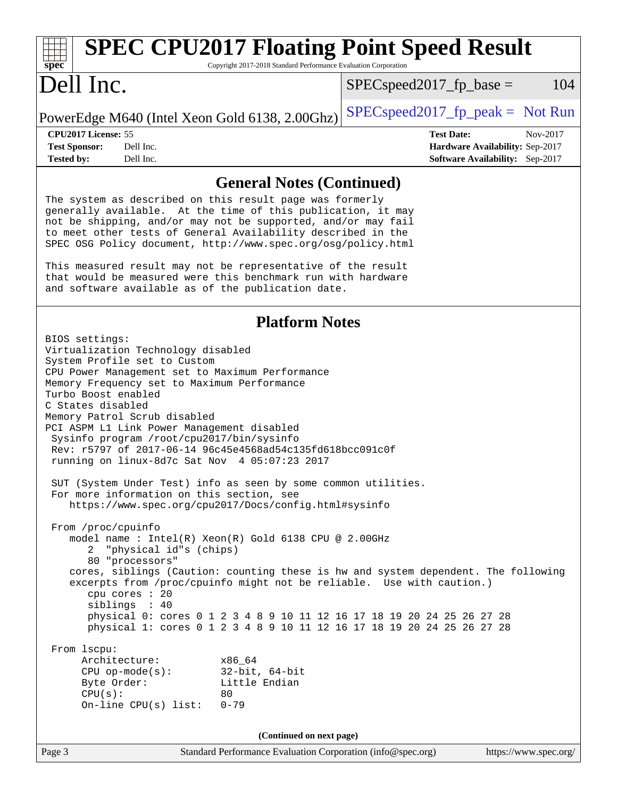| <b>SPEC CPU2017 Floating Point Speed Result</b><br>Copyright 2017-2018 Standard Performance Evaluation Corporation<br>$spec^*$                                                                                                                                                                                                                                                                                                                                                                                                                                                                                                                                                                                                                                                                                                                                                                                                                                                                                                                                                                                                                                                                                                                                                                                                                            |                                                                                                     |
|-----------------------------------------------------------------------------------------------------------------------------------------------------------------------------------------------------------------------------------------------------------------------------------------------------------------------------------------------------------------------------------------------------------------------------------------------------------------------------------------------------------------------------------------------------------------------------------------------------------------------------------------------------------------------------------------------------------------------------------------------------------------------------------------------------------------------------------------------------------------------------------------------------------------------------------------------------------------------------------------------------------------------------------------------------------------------------------------------------------------------------------------------------------------------------------------------------------------------------------------------------------------------------------------------------------------------------------------------------------|-----------------------------------------------------------------------------------------------------|
| Dell Inc.                                                                                                                                                                                                                                                                                                                                                                                                                                                                                                                                                                                                                                                                                                                                                                                                                                                                                                                                                                                                                                                                                                                                                                                                                                                                                                                                                 | 104<br>$SPEC speed2017fp base =$                                                                    |
| PowerEdge M640 (Intel Xeon Gold 6138, 2.00Ghz)                                                                                                                                                                                                                                                                                                                                                                                                                                                                                                                                                                                                                                                                                                                                                                                                                                                                                                                                                                                                                                                                                                                                                                                                                                                                                                            | $SPEC speed2017fr peak = Not Run$                                                                   |
| CPU2017 License: 55<br><b>Test Sponsor:</b><br>Dell Inc.<br><b>Tested by:</b><br>Dell Inc.                                                                                                                                                                                                                                                                                                                                                                                                                                                                                                                                                                                                                                                                                                                                                                                                                                                                                                                                                                                                                                                                                                                                                                                                                                                                | <b>Test Date:</b><br>Nov-2017<br>Hardware Availability: Sep-2017<br>Software Availability: Sep-2017 |
| <b>General Notes (Continued)</b>                                                                                                                                                                                                                                                                                                                                                                                                                                                                                                                                                                                                                                                                                                                                                                                                                                                                                                                                                                                                                                                                                                                                                                                                                                                                                                                          |                                                                                                     |
| The system as described on this result page was formerly<br>generally available. At the time of this publication, it may<br>not be shipping, and/or may not be supported, and/or may fail<br>to meet other tests of General Availability described in the<br>SPEC OSG Policy document, http://www.spec.org/osg/policy.html<br>This measured result may not be representative of the result<br>that would be measured were this benchmark run with hardware<br>and software available as of the publication date.                                                                                                                                                                                                                                                                                                                                                                                                                                                                                                                                                                                                                                                                                                                                                                                                                                          |                                                                                                     |
| <b>Platform Notes</b><br>BIOS settings:<br>Virtualization Technology disabled<br>System Profile set to Custom<br>CPU Power Management set to Maximum Performance<br>Memory Frequency set to Maximum Performance<br>Turbo Boost enabled<br>C States disabled<br>Memory Patrol Scrub disabled<br>PCI ASPM L1 Link Power Management disabled<br>Sysinfo program /root/cpu2017/bin/sysinfo<br>Rev: r5797 of 2017-06-14 96c45e4568ad54c135fd618bcc091c0f<br>running on linux-8d7c Sat Nov 4 05:07:23 2017<br>SUT (System Under Test) info as seen by some common utilities.<br>For more information on this section, see<br>https://www.spec.org/cpu2017/Docs/config.html#sysinfo<br>From /proc/cpuinfo<br>model name : Intel(R) Xeon(R) Gold 6138 CPU @ 2.00GHz<br>"physical id"s (chips)<br>$2^{\circ}$<br>80 "processors"<br>cores, siblings (Caution: counting these is hw and system dependent. The following<br>excerpts from /proc/cpuinfo might not be reliable. Use with caution.)<br>cpu cores : 20<br>siblings : 40<br>physical 0: cores 0 1 2 3 4 8 9 10 11 12 16 17 18 19 20 24 25 26 27 28<br>physical 1: cores 0 1 2 3 4 8 9 10 11 12 16 17 18 19 20 24 25 26 27 28<br>From 1scpu:<br>Architecture:<br>x86_64<br>$32$ -bit, $64$ -bit<br>$CPU$ op-mode(s):<br>Little Endian<br>Byte Order:<br>CPU(s):<br>80<br>On-line CPU(s) list:<br>$0 - 79$ |                                                                                                     |

**(Continued on next page)**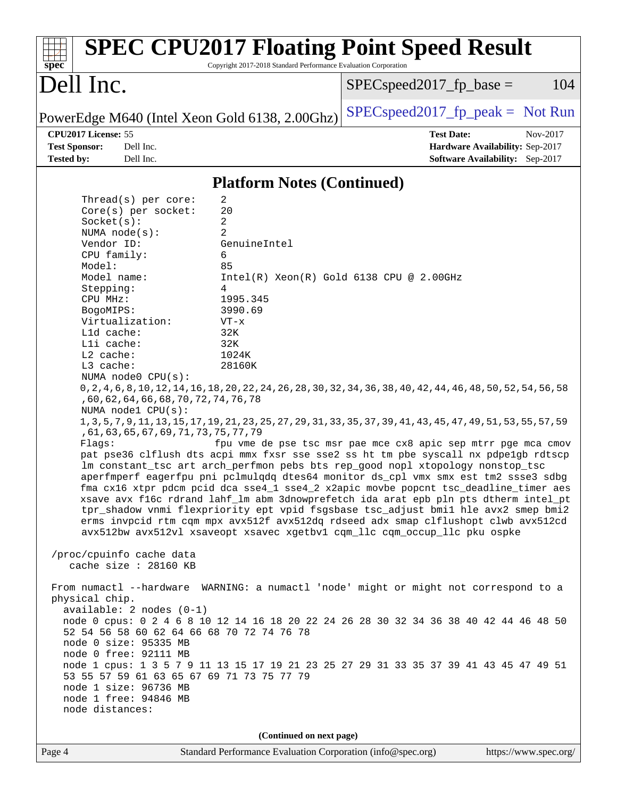| <b>SPEC CPU2017 Floating Point Speed Result</b><br>Copyright 2017-2018 Standard Performance Evaluation Corporation<br>spec <sup>®</sup>                                                                                                                                                                                                                                                                                                                                                                                                                                                                                                                                                                                                                                                                                                                                                                                                                                                                                                                                                                                                                                                                                                                                                                                                                                                                                                                                                                                                                                                                                                                                                                                                                                                                                                                                                                                                                                                                                                                                                   |                                                                                                                |
|-------------------------------------------------------------------------------------------------------------------------------------------------------------------------------------------------------------------------------------------------------------------------------------------------------------------------------------------------------------------------------------------------------------------------------------------------------------------------------------------------------------------------------------------------------------------------------------------------------------------------------------------------------------------------------------------------------------------------------------------------------------------------------------------------------------------------------------------------------------------------------------------------------------------------------------------------------------------------------------------------------------------------------------------------------------------------------------------------------------------------------------------------------------------------------------------------------------------------------------------------------------------------------------------------------------------------------------------------------------------------------------------------------------------------------------------------------------------------------------------------------------------------------------------------------------------------------------------------------------------------------------------------------------------------------------------------------------------------------------------------------------------------------------------------------------------------------------------------------------------------------------------------------------------------------------------------------------------------------------------------------------------------------------------------------------------------------------------|----------------------------------------------------------------------------------------------------------------|
| Dell Inc.                                                                                                                                                                                                                                                                                                                                                                                                                                                                                                                                                                                                                                                                                                                                                                                                                                                                                                                                                                                                                                                                                                                                                                                                                                                                                                                                                                                                                                                                                                                                                                                                                                                                                                                                                                                                                                                                                                                                                                                                                                                                                 | 104<br>$SPEC speed2017fp base =$                                                                               |
| PowerEdge M640 (Intel Xeon Gold 6138, 2.00Ghz)                                                                                                                                                                                                                                                                                                                                                                                                                                                                                                                                                                                                                                                                                                                                                                                                                                                                                                                                                                                                                                                                                                                                                                                                                                                                                                                                                                                                                                                                                                                                                                                                                                                                                                                                                                                                                                                                                                                                                                                                                                            | $SPEC speed2017_fp\_peak = Not Run$                                                                            |
| CPU2017 License: 55<br><b>Test Sponsor:</b><br>Dell Inc.<br><b>Tested by:</b><br>Dell Inc.                                                                                                                                                                                                                                                                                                                                                                                                                                                                                                                                                                                                                                                                                                                                                                                                                                                                                                                                                                                                                                                                                                                                                                                                                                                                                                                                                                                                                                                                                                                                                                                                                                                                                                                                                                                                                                                                                                                                                                                                | <b>Test Date:</b><br>Nov-2017<br>Hardware Availability: Sep-2017<br><b>Software Availability:</b> Sep-2017     |
|                                                                                                                                                                                                                                                                                                                                                                                                                                                                                                                                                                                                                                                                                                                                                                                                                                                                                                                                                                                                                                                                                                                                                                                                                                                                                                                                                                                                                                                                                                                                                                                                                                                                                                                                                                                                                                                                                                                                                                                                                                                                                           |                                                                                                                |
| <b>Platform Notes (Continued)</b>                                                                                                                                                                                                                                                                                                                                                                                                                                                                                                                                                                                                                                                                                                                                                                                                                                                                                                                                                                                                                                                                                                                                                                                                                                                                                                                                                                                                                                                                                                                                                                                                                                                                                                                                                                                                                                                                                                                                                                                                                                                         |                                                                                                                |
| $\overline{c}$<br>Thread( $s$ ) per core:<br>20<br>Core(s) per socket:<br>2<br>Socket(s):<br>2<br>NUMA $node(s)$ :<br>Vendor ID:<br>GenuineIntel<br>CPU family:<br>6<br>Model:<br>85<br>Model name:<br>Stepping:<br>4<br>CPU MHz:<br>1995.345<br>3990.69<br>BogoMIPS:<br>Virtualization:<br>$VT - x$<br>L1d cache:<br>32K<br>Lli cache:<br>32K<br>L2 cache:<br>1024K<br>L3 cache:<br>28160K<br>NUMA node0 CPU(s):<br>0, 2, 4, 6, 8, 10, 12, 14, 16, 18, 20, 22, 24, 26, 28, 30, 32, 34, 36, 38, 40, 42, 44, 46, 48, 50, 52, 54, 56, 58<br>, 60, 62, 64, 66, 68, 70, 72, 74, 76, 78<br>NUMA nodel CPU(s):<br>1, 3, 5, 7, 9, 11, 13, 15, 17, 19, 21, 23, 25, 27, 29, 31, 33, 35, 37, 39, 41, 43, 45, 47, 49, 51, 53, 55, 57, 59<br>, 61, 63, 65, 67, 69, 71, 73, 75, 77, 79<br>Flagg:<br>pat pse36 clflush dts acpi mmx fxsr sse sse2 ss ht tm pbe syscall nx pdpelgb rdtscp<br>lm constant_tsc art arch_perfmon pebs bts rep_good nopl xtopology nonstop_tsc<br>aperfmperf eagerfpu pni pclmulqdq dtes64 monitor ds_cpl vmx smx est tm2 ssse3 sdbg<br>fma cx16 xtpr pdcm pcid dca sse4_1 sse4_2 x2apic movbe popcnt tsc_deadline_timer aes<br>xsave avx f16c rdrand lahf_lm abm 3dnowprefetch ida arat epb pln pts dtherm intel_pt<br>tpr_shadow vnmi flexpriority ept vpid fsgsbase tsc_adjust bmil hle avx2 smep bmi2<br>erms invpcid rtm cqm mpx avx512f avx512dq rdseed adx smap clflushopt clwb avx512cd<br>avx512bw avx512vl xsaveopt xsavec xgetbvl cqm_llc cqm_occup_llc pku ospke<br>/proc/cpuinfo cache data<br>cache size : 28160 KB<br>From numactl --hardware WARNING: a numactl 'node' might or might not correspond to a<br>physical chip.<br>$available: 2 nodes (0-1)$<br>node 0 cpus: 0 2 4 6 8 10 12 14 16 18 20 22 24 26 28 30 32 34 36 38 40 42 44 46 48 50<br>52 54 56 58 60 62 64 66 68 70 72 74 76 78<br>node 0 size: 95335 MB<br>node 0 free: 92111 MB<br>node 1 cpus: 1 3 5 7 9 11 13 15 17 19 21 23 25 27 29 31 33 35 37 39 41 43 45 47 49 51<br>53 55 57 59 61 63 65 67 69 71 73 75 77 79<br>node 1 size: 96736 MB<br>node 1 free: 94846 MB<br>node distances: | $Intel(R)$ Xeon $(R)$ Gold 6138 CPU @ 2.00GHz<br>fpu vme de pse tsc msr pae mce cx8 apic sep mtrr pge mca cmov |
| (Continued on next page)                                                                                                                                                                                                                                                                                                                                                                                                                                                                                                                                                                                                                                                                                                                                                                                                                                                                                                                                                                                                                                                                                                                                                                                                                                                                                                                                                                                                                                                                                                                                                                                                                                                                                                                                                                                                                                                                                                                                                                                                                                                                  |                                                                                                                |
| Page 4<br>Standard Performance Evaluation Corporation (info@spec.org)                                                                                                                                                                                                                                                                                                                                                                                                                                                                                                                                                                                                                                                                                                                                                                                                                                                                                                                                                                                                                                                                                                                                                                                                                                                                                                                                                                                                                                                                                                                                                                                                                                                                                                                                                                                                                                                                                                                                                                                                                     | https://www.spec.org/                                                                                          |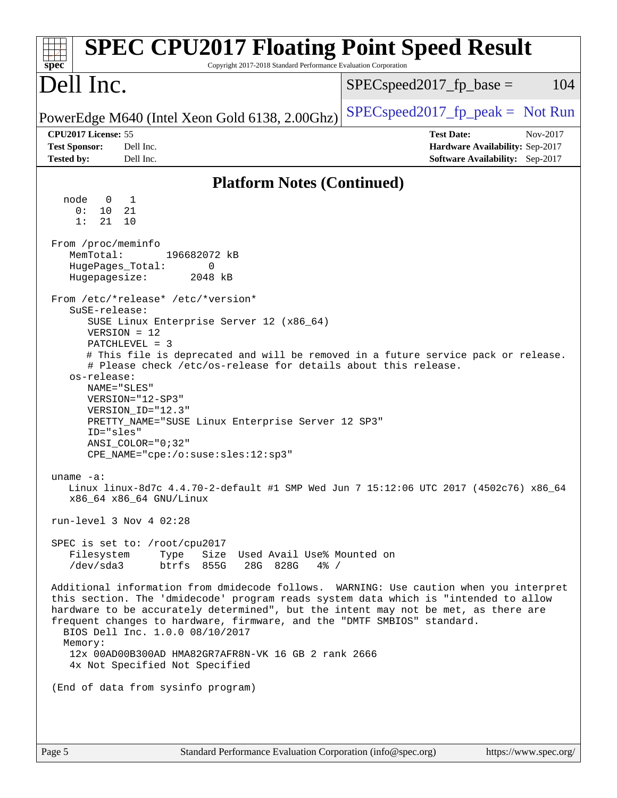| <b>SPEC CPU2017 Floating Point Speed Result</b><br>$spec^*$<br>Copyright 2017-2018 Standard Performance Evaluation Corporation                                                                                                                                                                                                                                                                                                                                                                                                                                                                                                                                                                                                                                                                                                                                                                                                                                                                                                                                                                                                                                                                                                                                                                                                                                                                              |                                                                                                     |  |
|-------------------------------------------------------------------------------------------------------------------------------------------------------------------------------------------------------------------------------------------------------------------------------------------------------------------------------------------------------------------------------------------------------------------------------------------------------------------------------------------------------------------------------------------------------------------------------------------------------------------------------------------------------------------------------------------------------------------------------------------------------------------------------------------------------------------------------------------------------------------------------------------------------------------------------------------------------------------------------------------------------------------------------------------------------------------------------------------------------------------------------------------------------------------------------------------------------------------------------------------------------------------------------------------------------------------------------------------------------------------------------------------------------------|-----------------------------------------------------------------------------------------------------|--|
| Dell Inc.                                                                                                                                                                                                                                                                                                                                                                                                                                                                                                                                                                                                                                                                                                                                                                                                                                                                                                                                                                                                                                                                                                                                                                                                                                                                                                                                                                                                   | 104<br>$SPEC speed2017fp base =$                                                                    |  |
| PowerEdge M640 (Intel Xeon Gold 6138, 2.00Ghz)                                                                                                                                                                                                                                                                                                                                                                                                                                                                                                                                                                                                                                                                                                                                                                                                                                                                                                                                                                                                                                                                                                                                                                                                                                                                                                                                                              | $SPEC speed2017_fp\_peak = Not Run$                                                                 |  |
| CPU2017 License: 55<br><b>Test Sponsor:</b><br>Dell Inc.<br><b>Tested by:</b><br>Dell Inc.                                                                                                                                                                                                                                                                                                                                                                                                                                                                                                                                                                                                                                                                                                                                                                                                                                                                                                                                                                                                                                                                                                                                                                                                                                                                                                                  | <b>Test Date:</b><br>Nov-2017<br>Hardware Availability: Sep-2017<br>Software Availability: Sep-2017 |  |
| <b>Platform Notes (Continued)</b>                                                                                                                                                                                                                                                                                                                                                                                                                                                                                                                                                                                                                                                                                                                                                                                                                                                                                                                                                                                                                                                                                                                                                                                                                                                                                                                                                                           |                                                                                                     |  |
| node<br>$\overline{0}$<br>$\mathbf{1}$<br>0:<br>10<br>21<br>1:<br>21<br>10<br>From /proc/meminfo<br>MemTotal:<br>196682072 kB<br>HugePages_Total:<br>0<br>2048 kB<br>Hugepagesize:<br>From /etc/*release* /etc/*version*<br>SuSE-release:<br>SUSE Linux Enterprise Server 12 (x86_64)<br>$VERSION = 12$<br>PATCHLEVEL = 3<br># This file is deprecated and will be removed in a future service pack or release.<br># Please check /etc/os-release for details about this release.<br>os-release:<br>NAME="SLES"<br>VERSION="12-SP3"<br>VERSION_ID="12.3"<br>PRETTY_NAME="SUSE Linux Enterprise Server 12 SP3"<br>ID="sles"<br>$ANSI$ _COLOR=" $0:32$ "<br>CPE_NAME="cpe:/o:suse:sles:12:sp3"<br>uname $-a$ :<br>Linux linux-8d7c 4.4.70-2-default #1 SMP Wed Jun 7 15:12:06 UTC 2017 (4502c76) x86_64<br>x86_64 x86_64 GNU/Linux<br>run-level $3$ Nov $4$ 02:28<br>SPEC is set to: /root/cpu2017<br>Filesystem<br>Size Used Avail Use% Mounted on<br>Type<br>/dev/sda3<br>btrfs 855G<br>28G 828G<br>$4\%$ /<br>Additional information from dmidecode follows. WARNING: Use caution when you interpret<br>this section. The 'dmidecode' program reads system data which is "intended to allow<br>hardware to be accurately determined", but the intent may not be met, as there are<br>frequent changes to hardware, firmware, and the "DMTF SMBIOS" standard.<br>BIOS Dell Inc. 1.0.0 08/10/2017<br>Memory: |                                                                                                     |  |
| 12x 00AD00B300AD HMA82GR7AFR8N-VK 16 GB 2 rank 2666<br>4x Not Specified Not Specified                                                                                                                                                                                                                                                                                                                                                                                                                                                                                                                                                                                                                                                                                                                                                                                                                                                                                                                                                                                                                                                                                                                                                                                                                                                                                                                       |                                                                                                     |  |
| (End of data from sysinfo program)                                                                                                                                                                                                                                                                                                                                                                                                                                                                                                                                                                                                                                                                                                                                                                                                                                                                                                                                                                                                                                                                                                                                                                                                                                                                                                                                                                          |                                                                                                     |  |
|                                                                                                                                                                                                                                                                                                                                                                                                                                                                                                                                                                                                                                                                                                                                                                                                                                                                                                                                                                                                                                                                                                                                                                                                                                                                                                                                                                                                             |                                                                                                     |  |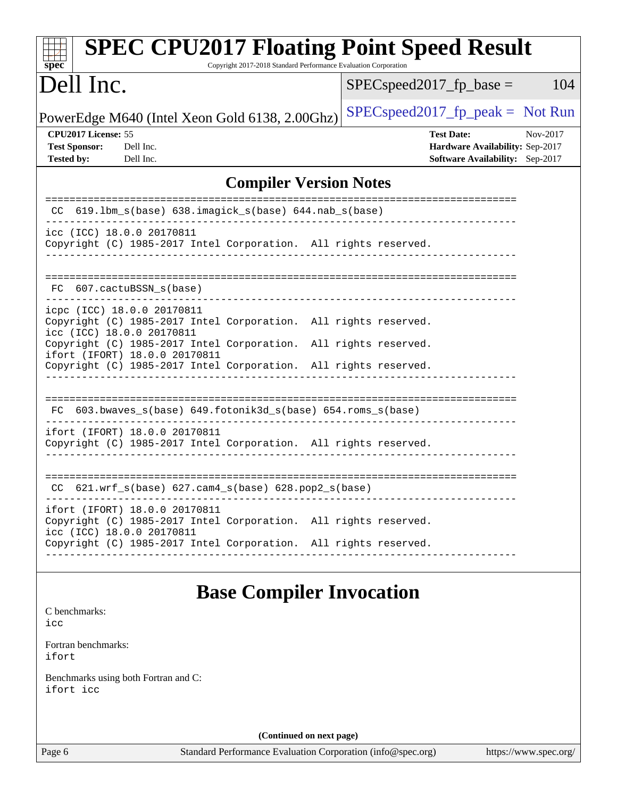| <b>SPEC CPU2017 Floating Point Speed Result</b><br>Copyright 2017-2018 Standard Performance Evaluation Corporation<br>$spec^*$                 |                                                                                                            |  |
|------------------------------------------------------------------------------------------------------------------------------------------------|------------------------------------------------------------------------------------------------------------|--|
| Dell Inc.                                                                                                                                      | $SPEC speed2017_fp\_base =$<br>104                                                                         |  |
| PowerEdge M640 (Intel Xeon Gold 6138, 2.00Ghz)                                                                                                 | $SPEC speed2017_fp\_peak = Not Run$                                                                        |  |
| CPU2017 License: 55<br><b>Test Sponsor:</b><br>Dell Inc.<br><b>Tested by:</b><br>Dell Inc.                                                     | <b>Test Date:</b><br>Nov-2017<br>Hardware Availability: Sep-2017<br><b>Software Availability:</b> Sep-2017 |  |
| <b>Compiler Version Notes</b>                                                                                                                  |                                                                                                            |  |
| 619.1bm_s(base) 638.imagick_s(base) 644.nab_s(base)                                                                                            |                                                                                                            |  |
| icc (ICC) 18.0.0 20170811<br>Copyright (C) 1985-2017 Intel Corporation. All rights reserved.                                                   |                                                                                                            |  |
| FC 607.cactuBSSN_s(base)                                                                                                                       |                                                                                                            |  |
| icpc (ICC) 18.0.0 20170811<br>Copyright (C) 1985-2017 Intel Corporation. All rights reserved.<br>icc (ICC) 18.0.0 20170811                     |                                                                                                            |  |
| Copyright (C) 1985-2017 Intel Corporation.<br>ifort (IFORT) 18.0.0 20170811<br>Copyright (C) 1985-2017 Intel Corporation. All rights reserved. | All rights reserved.                                                                                       |  |
| FC 603.bwaves_s(base) 649.fotonik3d_s(base) 654.roms_s(base)                                                                                   |                                                                                                            |  |
| ifort (IFORT) 18.0.0 20170811<br>Copyright (C) 1985-2017 Intel Corporation. All rights reserved.                                               |                                                                                                            |  |
| $CC$ 621.wrf_s(base) 627.cam4_s(base) 628.pop2_s(base)                                                                                         |                                                                                                            |  |
| ifort (IFORT) 18.0.0 20170811<br>Copyright (C) 1985-2017 Intel Corporation. All rights reserved.<br>icc (ICC) 18.0.0 20170811                  |                                                                                                            |  |
| Copyright (C) 1985-2017 Intel Corporation. All rights reserved.                                                                                |                                                                                                            |  |
| <b>Base Compiler Invocation</b>                                                                                                                |                                                                                                            |  |
| C benchmarks:<br>icc                                                                                                                           |                                                                                                            |  |
| Fortran benchmarks:<br>ifort                                                                                                                   |                                                                                                            |  |
| Benchmarks using both Fortran and C:<br>ifort icc                                                                                              |                                                                                                            |  |
|                                                                                                                                                |                                                                                                            |  |

**(Continued on next page)**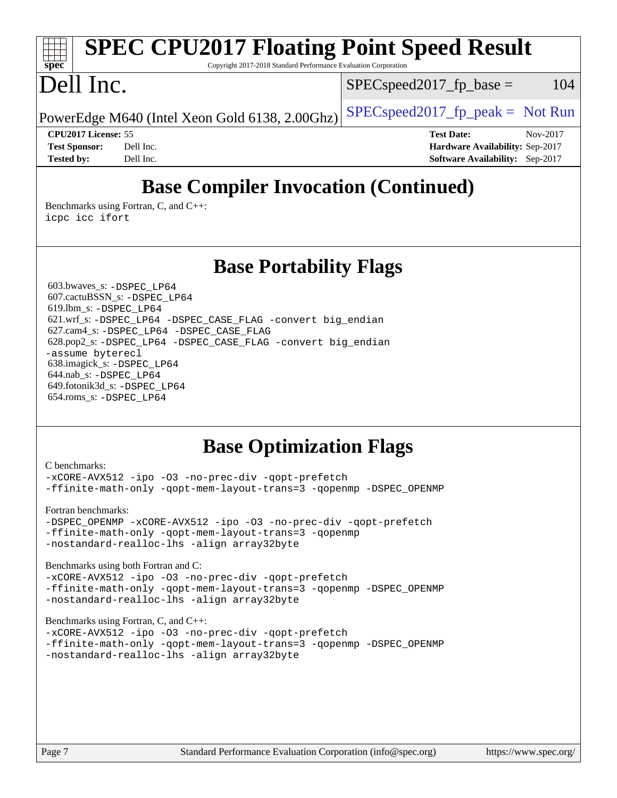### **[spec](http://www.spec.org/) [SPEC CPU2017 Floating Point Speed Result](http://www.spec.org/auto/cpu2017/Docs/result-fields.html#SPECCPU2017FloatingPointSpeedResult)** Copyright 2017-2018 Standard Performance Evaluation Corporation Dell Inc. PowerEdge M640 (Intel Xeon Gold 6138, 2.00Ghz)  $\left| \frac{\text{SPECspeed2017\_fp\_peak}}{\text{P}} \right| = \text{Not Run}$  $SPEC speed2017_fp\_base = 104$ **[CPU2017 License:](http://www.spec.org/auto/cpu2017/Docs/result-fields.html#CPU2017License)** 55 **[Test Date:](http://www.spec.org/auto/cpu2017/Docs/result-fields.html#TestDate)** Nov-2017 **[Test Sponsor:](http://www.spec.org/auto/cpu2017/Docs/result-fields.html#TestSponsor)** Dell Inc. **[Hardware Availability:](http://www.spec.org/auto/cpu2017/Docs/result-fields.html#HardwareAvailability)** Sep-2017 **[Tested by:](http://www.spec.org/auto/cpu2017/Docs/result-fields.html#Testedby)** Dell Inc. **[Software Availability:](http://www.spec.org/auto/cpu2017/Docs/result-fields.html#SoftwareAvailability)** Sep-2017

# **[Base Compiler Invocation \(Continued\)](http://www.spec.org/auto/cpu2017/Docs/result-fields.html#BaseCompilerInvocation)**

[Benchmarks using Fortran, C, and C++:](http://www.spec.org/auto/cpu2017/Docs/result-fields.html#BenchmarksusingFortranCandCXX) [icpc](http://www.spec.org/cpu2017/results/res2018q1/cpu2017-20180205-03328.flags.html#user_CC_CXX_FCbase_intel_icpc_18.0_c510b6838c7f56d33e37e94d029a35b4a7bccf4766a728ee175e80a419847e808290a9b78be685c44ab727ea267ec2f070ec5dc83b407c0218cded6866a35d07) [icc](http://www.spec.org/cpu2017/results/res2018q1/cpu2017-20180205-03328.flags.html#user_CC_CXX_FCbase_intel_icc_18.0_66fc1ee009f7361af1fbd72ca7dcefbb700085f36577c54f309893dd4ec40d12360134090235512931783d35fd58c0460139e722d5067c5574d8eaf2b3e37e92) [ifort](http://www.spec.org/cpu2017/results/res2018q1/cpu2017-20180205-03328.flags.html#user_CC_CXX_FCbase_intel_ifort_18.0_8111460550e3ca792625aed983ce982f94888b8b503583aa7ba2b8303487b4d8a21a13e7191a45c5fd58ff318f48f9492884d4413fa793fd88dd292cad7027ca)

## **[Base Portability Flags](http://www.spec.org/auto/cpu2017/Docs/result-fields.html#BasePortabilityFlags)**

 603.bwaves\_s: [-DSPEC\\_LP64](http://www.spec.org/cpu2017/results/res2018q1/cpu2017-20180205-03328.flags.html#suite_basePORTABILITY603_bwaves_s_DSPEC_LP64) 607.cactuBSSN\_s: [-DSPEC\\_LP64](http://www.spec.org/cpu2017/results/res2018q1/cpu2017-20180205-03328.flags.html#suite_basePORTABILITY607_cactuBSSN_s_DSPEC_LP64) 619.lbm\_s: [-DSPEC\\_LP64](http://www.spec.org/cpu2017/results/res2018q1/cpu2017-20180205-03328.flags.html#suite_basePORTABILITY619_lbm_s_DSPEC_LP64) 621.wrf\_s: [-DSPEC\\_LP64](http://www.spec.org/cpu2017/results/res2018q1/cpu2017-20180205-03328.flags.html#suite_basePORTABILITY621_wrf_s_DSPEC_LP64) [-DSPEC\\_CASE\\_FLAG](http://www.spec.org/cpu2017/results/res2018q1/cpu2017-20180205-03328.flags.html#b621.wrf_s_baseCPORTABILITY_DSPEC_CASE_FLAG) [-convert big\\_endian](http://www.spec.org/cpu2017/results/res2018q1/cpu2017-20180205-03328.flags.html#user_baseFPORTABILITY621_wrf_s_convert_big_endian_c3194028bc08c63ac5d04de18c48ce6d347e4e562e8892b8bdbdc0214820426deb8554edfa529a3fb25a586e65a3d812c835984020483e7e73212c4d31a38223) 627.cam4\_s: [-DSPEC\\_LP64](http://www.spec.org/cpu2017/results/res2018q1/cpu2017-20180205-03328.flags.html#suite_basePORTABILITY627_cam4_s_DSPEC_LP64) [-DSPEC\\_CASE\\_FLAG](http://www.spec.org/cpu2017/results/res2018q1/cpu2017-20180205-03328.flags.html#b627.cam4_s_baseCPORTABILITY_DSPEC_CASE_FLAG) 628.pop2\_s: [-DSPEC\\_LP64](http://www.spec.org/cpu2017/results/res2018q1/cpu2017-20180205-03328.flags.html#suite_basePORTABILITY628_pop2_s_DSPEC_LP64) [-DSPEC\\_CASE\\_FLAG](http://www.spec.org/cpu2017/results/res2018q1/cpu2017-20180205-03328.flags.html#b628.pop2_s_baseCPORTABILITY_DSPEC_CASE_FLAG) [-convert big\\_endian](http://www.spec.org/cpu2017/results/res2018q1/cpu2017-20180205-03328.flags.html#user_baseFPORTABILITY628_pop2_s_convert_big_endian_c3194028bc08c63ac5d04de18c48ce6d347e4e562e8892b8bdbdc0214820426deb8554edfa529a3fb25a586e65a3d812c835984020483e7e73212c4d31a38223) [-assume byterecl](http://www.spec.org/cpu2017/results/res2018q1/cpu2017-20180205-03328.flags.html#user_baseFPORTABILITY628_pop2_s_assume_byterecl_7e47d18b9513cf18525430bbf0f2177aa9bf368bc7a059c09b2c06a34b53bd3447c950d3f8d6c70e3faf3a05c8557d66a5798b567902e8849adc142926523472) 638.imagick\_s: [-DSPEC\\_LP64](http://www.spec.org/cpu2017/results/res2018q1/cpu2017-20180205-03328.flags.html#suite_basePORTABILITY638_imagick_s_DSPEC_LP64) 644.nab\_s: [-DSPEC\\_LP64](http://www.spec.org/cpu2017/results/res2018q1/cpu2017-20180205-03328.flags.html#suite_basePORTABILITY644_nab_s_DSPEC_LP64) 649.fotonik3d\_s: [-DSPEC\\_LP64](http://www.spec.org/cpu2017/results/res2018q1/cpu2017-20180205-03328.flags.html#suite_basePORTABILITY649_fotonik3d_s_DSPEC_LP64) 654.roms\_s: [-DSPEC\\_LP64](http://www.spec.org/cpu2017/results/res2018q1/cpu2017-20180205-03328.flags.html#suite_basePORTABILITY654_roms_s_DSPEC_LP64)

## **[Base Optimization Flags](http://www.spec.org/auto/cpu2017/Docs/result-fields.html#BaseOptimizationFlags)**

#### [C benchmarks](http://www.spec.org/auto/cpu2017/Docs/result-fields.html#Cbenchmarks): [-xCORE-AVX512](http://www.spec.org/cpu2017/results/res2018q1/cpu2017-20180205-03328.flags.html#user_CCbase_f-xCORE-AVX512) [-ipo](http://www.spec.org/cpu2017/results/res2018q1/cpu2017-20180205-03328.flags.html#user_CCbase_f-ipo) [-O3](http://www.spec.org/cpu2017/results/res2018q1/cpu2017-20180205-03328.flags.html#user_CCbase_f-O3) [-no-prec-div](http://www.spec.org/cpu2017/results/res2018q1/cpu2017-20180205-03328.flags.html#user_CCbase_f-no-prec-div) [-qopt-prefetch](http://www.spec.org/cpu2017/results/res2018q1/cpu2017-20180205-03328.flags.html#user_CCbase_f-qopt-prefetch) [-ffinite-math-only](http://www.spec.org/cpu2017/results/res2018q1/cpu2017-20180205-03328.flags.html#user_CCbase_f_finite_math_only_cb91587bd2077682c4b38af759c288ed7c732db004271a9512da14a4f8007909a5f1427ecbf1a0fb78ff2a814402c6114ac565ca162485bbcae155b5e4258871) [-qopt-mem-layout-trans=3](http://www.spec.org/cpu2017/results/res2018q1/cpu2017-20180205-03328.flags.html#user_CCbase_f-qopt-mem-layout-trans_de80db37974c74b1f0e20d883f0b675c88c3b01e9d123adea9b28688d64333345fb62bc4a798493513fdb68f60282f9a726aa07f478b2f7113531aecce732043) [-qopenmp](http://www.spec.org/cpu2017/results/res2018q1/cpu2017-20180205-03328.flags.html#user_CCbase_qopenmp_16be0c44f24f464004c6784a7acb94aca937f053568ce72f94b139a11c7c168634a55f6653758ddd83bcf7b8463e8028bb0b48b77bcddc6b78d5d95bb1df2967) [-DSPEC\\_OPENMP](http://www.spec.org/cpu2017/results/res2018q1/cpu2017-20180205-03328.flags.html#suite_CCbase_DSPEC_OPENMP) [Fortran benchmarks](http://www.spec.org/auto/cpu2017/Docs/result-fields.html#Fortranbenchmarks): [-DSPEC\\_OPENMP](http://www.spec.org/cpu2017/results/res2018q1/cpu2017-20180205-03328.flags.html#suite_FCbase_DSPEC_OPENMP) [-xCORE-AVX512](http://www.spec.org/cpu2017/results/res2018q1/cpu2017-20180205-03328.flags.html#user_FCbase_f-xCORE-AVX512) [-ipo](http://www.spec.org/cpu2017/results/res2018q1/cpu2017-20180205-03328.flags.html#user_FCbase_f-ipo) [-O3](http://www.spec.org/cpu2017/results/res2018q1/cpu2017-20180205-03328.flags.html#user_FCbase_f-O3) [-no-prec-div](http://www.spec.org/cpu2017/results/res2018q1/cpu2017-20180205-03328.flags.html#user_FCbase_f-no-prec-div) [-qopt-prefetch](http://www.spec.org/cpu2017/results/res2018q1/cpu2017-20180205-03328.flags.html#user_FCbase_f-qopt-prefetch) [-ffinite-math-only](http://www.spec.org/cpu2017/results/res2018q1/cpu2017-20180205-03328.flags.html#user_FCbase_f_finite_math_only_cb91587bd2077682c4b38af759c288ed7c732db004271a9512da14a4f8007909a5f1427ecbf1a0fb78ff2a814402c6114ac565ca162485bbcae155b5e4258871) [-qopt-mem-layout-trans=3](http://www.spec.org/cpu2017/results/res2018q1/cpu2017-20180205-03328.flags.html#user_FCbase_f-qopt-mem-layout-trans_de80db37974c74b1f0e20d883f0b675c88c3b01e9d123adea9b28688d64333345fb62bc4a798493513fdb68f60282f9a726aa07f478b2f7113531aecce732043) [-qopenmp](http://www.spec.org/cpu2017/results/res2018q1/cpu2017-20180205-03328.flags.html#user_FCbase_qopenmp_16be0c44f24f464004c6784a7acb94aca937f053568ce72f94b139a11c7c168634a55f6653758ddd83bcf7b8463e8028bb0b48b77bcddc6b78d5d95bb1df2967) [-nostandard-realloc-lhs](http://www.spec.org/cpu2017/results/res2018q1/cpu2017-20180205-03328.flags.html#user_FCbase_f_2003_std_realloc_82b4557e90729c0f113870c07e44d33d6f5a304b4f63d4c15d2d0f1fab99f5daaed73bdb9275d9ae411527f28b936061aa8b9c8f2d63842963b95c9dd6426b8a) [-align array32byte](http://www.spec.org/cpu2017/results/res2018q1/cpu2017-20180205-03328.flags.html#user_FCbase_align_array32byte_b982fe038af199962ba9a80c053b8342c548c85b40b8e86eb3cc33dee0d7986a4af373ac2d51c3f7cf710a18d62fdce2948f201cd044323541f22fc0fffc51b6) [Benchmarks using both Fortran and C](http://www.spec.org/auto/cpu2017/Docs/result-fields.html#BenchmarksusingbothFortranandC): [-xCORE-AVX512](http://www.spec.org/cpu2017/results/res2018q1/cpu2017-20180205-03328.flags.html#user_CC_FCbase_f-xCORE-AVX512) [-ipo](http://www.spec.org/cpu2017/results/res2018q1/cpu2017-20180205-03328.flags.html#user_CC_FCbase_f-ipo) [-O3](http://www.spec.org/cpu2017/results/res2018q1/cpu2017-20180205-03328.flags.html#user_CC_FCbase_f-O3) [-no-prec-div](http://www.spec.org/cpu2017/results/res2018q1/cpu2017-20180205-03328.flags.html#user_CC_FCbase_f-no-prec-div) [-qopt-prefetch](http://www.spec.org/cpu2017/results/res2018q1/cpu2017-20180205-03328.flags.html#user_CC_FCbase_f-qopt-prefetch) [-ffinite-math-only](http://www.spec.org/cpu2017/results/res2018q1/cpu2017-20180205-03328.flags.html#user_CC_FCbase_f_finite_math_only_cb91587bd2077682c4b38af759c288ed7c732db004271a9512da14a4f8007909a5f1427ecbf1a0fb78ff2a814402c6114ac565ca162485bbcae155b5e4258871) [-qopt-mem-layout-trans=3](http://www.spec.org/cpu2017/results/res2018q1/cpu2017-20180205-03328.flags.html#user_CC_FCbase_f-qopt-mem-layout-trans_de80db37974c74b1f0e20d883f0b675c88c3b01e9d123adea9b28688d64333345fb62bc4a798493513fdb68f60282f9a726aa07f478b2f7113531aecce732043) [-qopenmp](http://www.spec.org/cpu2017/results/res2018q1/cpu2017-20180205-03328.flags.html#user_CC_FCbase_qopenmp_16be0c44f24f464004c6784a7acb94aca937f053568ce72f94b139a11c7c168634a55f6653758ddd83bcf7b8463e8028bb0b48b77bcddc6b78d5d95bb1df2967) [-DSPEC\\_OPENMP](http://www.spec.org/cpu2017/results/res2018q1/cpu2017-20180205-03328.flags.html#suite_CC_FCbase_DSPEC_OPENMP) [-nostandard-realloc-lhs](http://www.spec.org/cpu2017/results/res2018q1/cpu2017-20180205-03328.flags.html#user_CC_FCbase_f_2003_std_realloc_82b4557e90729c0f113870c07e44d33d6f5a304b4f63d4c15d2d0f1fab99f5daaed73bdb9275d9ae411527f28b936061aa8b9c8f2d63842963b95c9dd6426b8a) [-align array32byte](http://www.spec.org/cpu2017/results/res2018q1/cpu2017-20180205-03328.flags.html#user_CC_FCbase_align_array32byte_b982fe038af199962ba9a80c053b8342c548c85b40b8e86eb3cc33dee0d7986a4af373ac2d51c3f7cf710a18d62fdce2948f201cd044323541f22fc0fffc51b6) [Benchmarks using Fortran, C, and C++:](http://www.spec.org/auto/cpu2017/Docs/result-fields.html#BenchmarksusingFortranCandCXX) [-xCORE-AVX512](http://www.spec.org/cpu2017/results/res2018q1/cpu2017-20180205-03328.flags.html#user_CC_CXX_FCbase_f-xCORE-AVX512) [-ipo](http://www.spec.org/cpu2017/results/res2018q1/cpu2017-20180205-03328.flags.html#user_CC_CXX_FCbase_f-ipo) [-O3](http://www.spec.org/cpu2017/results/res2018q1/cpu2017-20180205-03328.flags.html#user_CC_CXX_FCbase_f-O3) [-no-prec-div](http://www.spec.org/cpu2017/results/res2018q1/cpu2017-20180205-03328.flags.html#user_CC_CXX_FCbase_f-no-prec-div) [-qopt-prefetch](http://www.spec.org/cpu2017/results/res2018q1/cpu2017-20180205-03328.flags.html#user_CC_CXX_FCbase_f-qopt-prefetch)

[-ffinite-math-only](http://www.spec.org/cpu2017/results/res2018q1/cpu2017-20180205-03328.flags.html#user_CC_CXX_FCbase_f_finite_math_only_cb91587bd2077682c4b38af759c288ed7c732db004271a9512da14a4f8007909a5f1427ecbf1a0fb78ff2a814402c6114ac565ca162485bbcae155b5e4258871) [-qopt-mem-layout-trans=3](http://www.spec.org/cpu2017/results/res2018q1/cpu2017-20180205-03328.flags.html#user_CC_CXX_FCbase_f-qopt-mem-layout-trans_de80db37974c74b1f0e20d883f0b675c88c3b01e9d123adea9b28688d64333345fb62bc4a798493513fdb68f60282f9a726aa07f478b2f7113531aecce732043) [-qopenmp](http://www.spec.org/cpu2017/results/res2018q1/cpu2017-20180205-03328.flags.html#user_CC_CXX_FCbase_qopenmp_16be0c44f24f464004c6784a7acb94aca937f053568ce72f94b139a11c7c168634a55f6653758ddd83bcf7b8463e8028bb0b48b77bcddc6b78d5d95bb1df2967) [-DSPEC\\_OPENMP](http://www.spec.org/cpu2017/results/res2018q1/cpu2017-20180205-03328.flags.html#suite_CC_CXX_FCbase_DSPEC_OPENMP) [-nostandard-realloc-lhs](http://www.spec.org/cpu2017/results/res2018q1/cpu2017-20180205-03328.flags.html#user_CC_CXX_FCbase_f_2003_std_realloc_82b4557e90729c0f113870c07e44d33d6f5a304b4f63d4c15d2d0f1fab99f5daaed73bdb9275d9ae411527f28b936061aa8b9c8f2d63842963b95c9dd6426b8a) [-align array32byte](http://www.spec.org/cpu2017/results/res2018q1/cpu2017-20180205-03328.flags.html#user_CC_CXX_FCbase_align_array32byte_b982fe038af199962ba9a80c053b8342c548c85b40b8e86eb3cc33dee0d7986a4af373ac2d51c3f7cf710a18d62fdce2948f201cd044323541f22fc0fffc51b6)